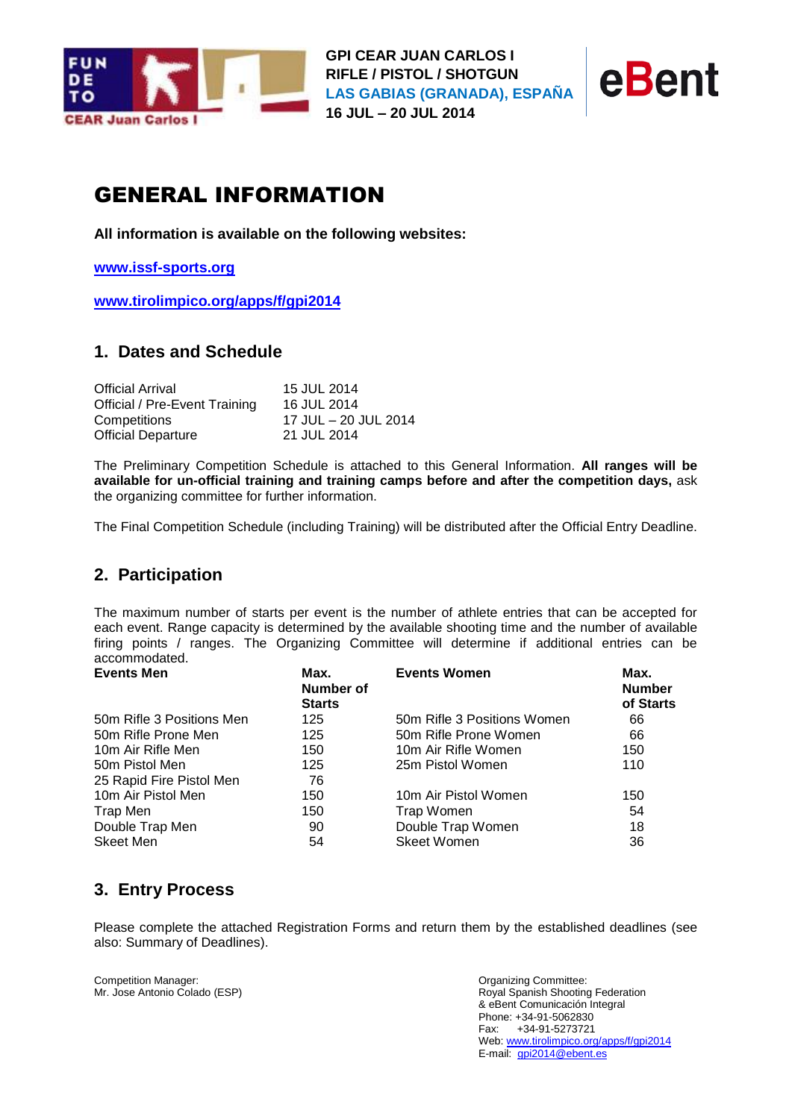



# GENERAL INFORMATION

**All information is available on the following websites:**

**[www.issf-sports.org](http://www.issf-sports.org/)**

**[www.tirolimpico.org/apps/f/gpi2014](http://www.tirolimpico.org/apps/f/gpi2014)**

# **1. Dates and Schedule**

| <b>Official Arrival</b>       | 15 JUL 2014          |
|-------------------------------|----------------------|
| Official / Pre-Event Training | 16 JUL 2014          |
| Competitions                  | 17 JUL – 20 JUL 2014 |
| <b>Official Departure</b>     | 21 JUL 2014          |

The Preliminary Competition Schedule is attached to this General Information. **All ranges will be available for un-official training and training camps before and after the competition days,** ask the organizing committee for further information.

The Final Competition Schedule (including Training) will be distributed after the Official Entry Deadline.

# **2. Participation**

The maximum number of starts per event is the number of athlete entries that can be accepted for each event. Range capacity is determined by the available shooting time and the number of available firing points / ranges. The Organizing Committee will determine if additional entries can be accommodated.

| <b>Events Men</b>         | Max.<br>Number of<br><b>Starts</b> | <b>Events Women</b>         | Max.<br><b>Number</b><br>of Starts |
|---------------------------|------------------------------------|-----------------------------|------------------------------------|
| 50m Rifle 3 Positions Men | 125                                | 50m Rifle 3 Positions Women | 66                                 |
| 50m Rifle Prone Men       | 125                                | 50m Rifle Prone Women       | 66                                 |
| 10m Air Rifle Men         | 150                                | 10m Air Rifle Women         | 150                                |
| 50m Pistol Men            | 125                                | 25m Pistol Women            | 110                                |
| 25 Rapid Fire Pistol Men  | 76                                 |                             |                                    |
| 10m Air Pistol Men        | 150                                | 10m Air Pistol Women        | 150                                |
| Trap Men                  | 150                                | Trap Women                  | 54                                 |
| Double Trap Men           | 90                                 | Double Trap Women           | 18                                 |
| Skeet Men                 | 54                                 | <b>Skeet Women</b>          | 36                                 |

# **3. Entry Process**

Please complete the attached Registration Forms and return them by the established deadlines (see also: Summary of Deadlines).

Competition Manager: Organizing Committee: Mr. Jose Antonio Colado (ESP)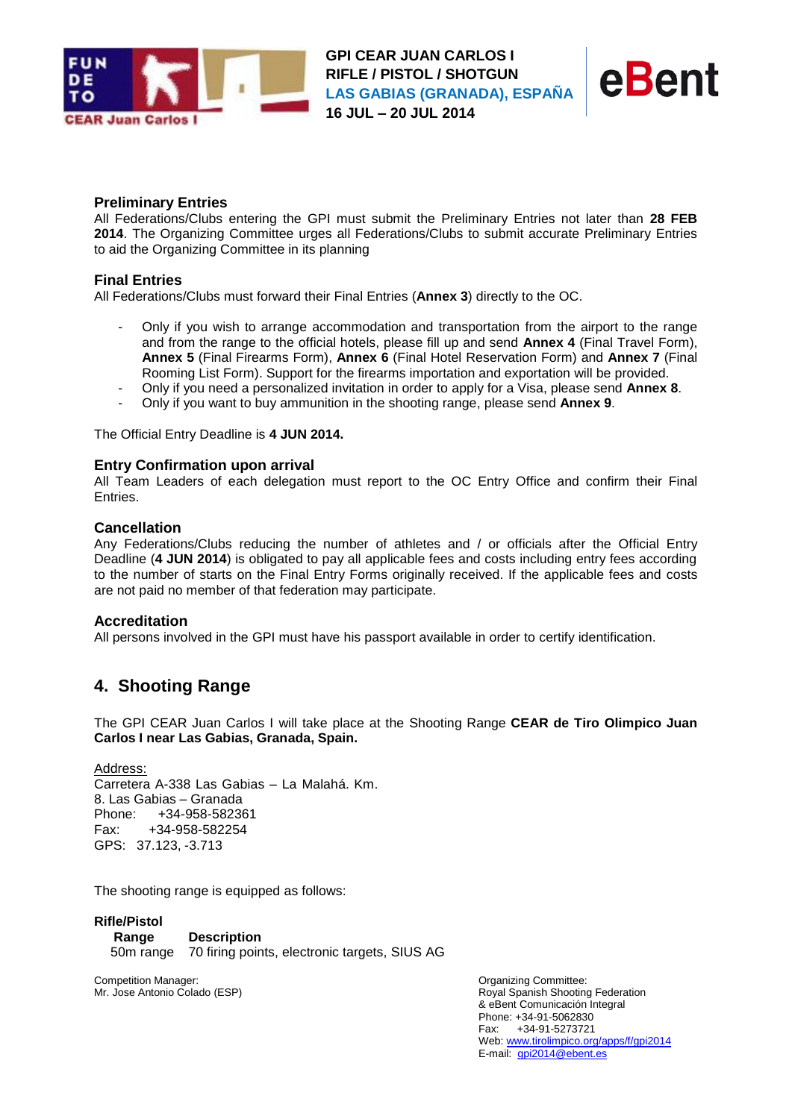

**GPI CEAR JUAN CARLOS I RIFLE / PISTOL / SHOTGUN LAS GABIAS (GRANADA), ESPAÑA 16 JUL – 20 JUL 2014**



#### **Preliminary Entries**

All Federations/Clubs entering the GPI must submit the Preliminary Entries not later than **28 FEB 2014**. The Organizing Committee urges all Federations/Clubs to submit accurate Preliminary Entries to aid the Organizing Committee in its planning

#### **Final Entries**

All Federations/Clubs must forward their Final Entries (**Annex 3**) directly to the OC.

- Only if you wish to arrange accommodation and transportation from the airport to the range and from the range to the official hotels, please fill up and send **Annex 4** (Final Travel Form), **Annex 5** (Final Firearms Form), **Annex 6** (Final Hotel Reservation Form) and **Annex 7** (Final Rooming List Form). Support for the firearms importation and exportation will be provided.
- Only if you need a personalized invitation in order to apply for a Visa, please send **Annex 8**.
- Only if you want to buy ammunition in the shooting range, please send **Annex 9**.

The Official Entry Deadline is **4 JUN 2014.**

#### **Entry Confirmation upon arrival**

All Team Leaders of each delegation must report to the OC Entry Office and confirm their Final Entries.

#### **Cancellation**

Any Federations/Clubs reducing the number of athletes and / or officials after the Official Entry Deadline (**4 JUN 2014**) is obligated to pay all applicable fees and costs including entry fees according to the number of starts on the Final Entry Forms originally received. If the applicable fees and costs are not paid no member of that federation may participate.

#### **Accreditation**

All persons involved in the GPI must have his passport available in order to certify identification.

# **4. Shooting Range**

The GPI CEAR Juan Carlos I will take place at the Shooting Range **CEAR de Tiro Olimpico Juan Carlos I near Las Gabias, Granada, Spain.** 

Address: Carretera A-338 Las Gabias – La Malahá. Km. 8. Las Gabias – Granada Phone: +34-958-582361 Fax: +34-958-582254 GPS: 37.123, -3.713

The shooting range is equipped as follows:

**Rifle/Pistol Range Description** 50m range 70 firing points, electronic targets, SIUS AG

Competition Manager: **Committee:** Competition Manager: **Organizing Committee:** Competition Manager: Mr. Jose Antonio Colado (ESP)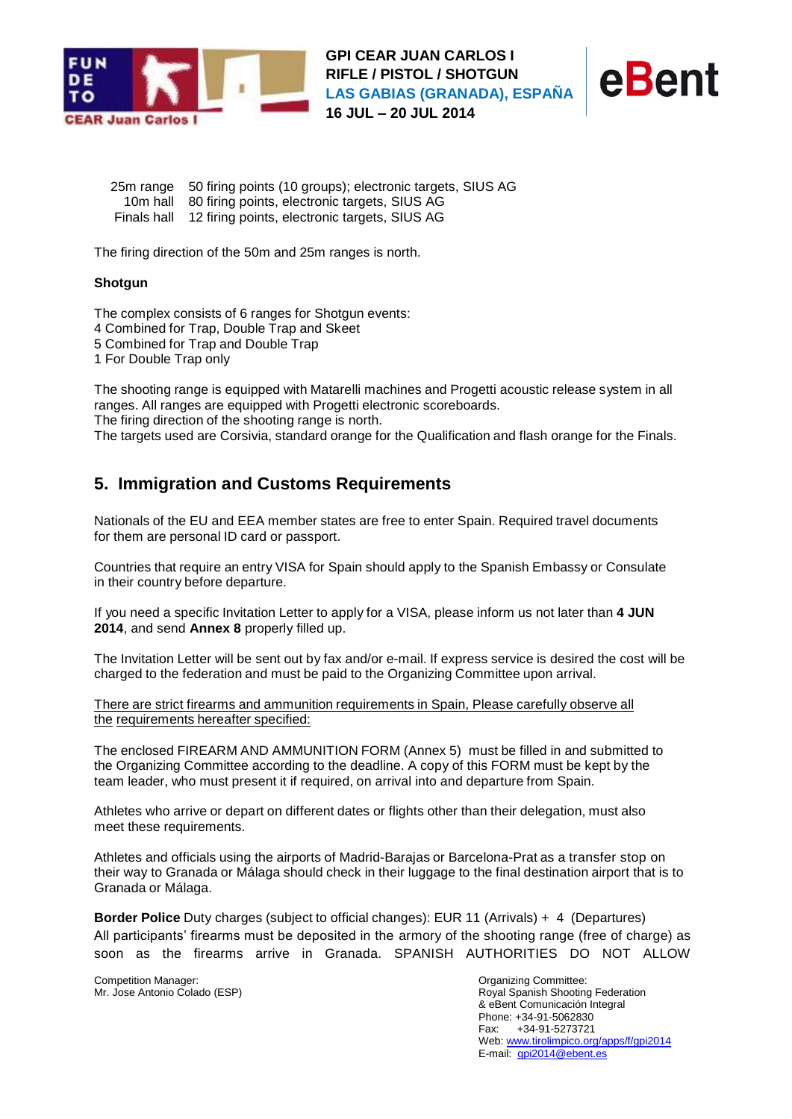



25m range 50 firing points (10 groups); electronic targets, SIUS AG 10m hall 80 firing points, electronic targets, SIUS AG Finals hall 12 firing points, electronic targets, SIUS AG

The firing direction of the 50m and 25m ranges is north.

#### **Shotgun**

The complex consists of 6 ranges for Shotgun events: Combined for Trap, Double Trap and Skeet Combined for Trap and Double Trap For Double Trap only

The shooting range is equipped with Matarelli machines and Progetti acoustic release system in all ranges. All ranges are equipped with Progetti electronic scoreboards. The firing direction of the shooting range is north.

The targets used are Corsivia, standard orange for the Qualification and flash orange for the Finals.

# **5. Immigration and Customs Requirements**

Nationals of the EU and EEA member states are free to enter Spain. Required travel documents for them are personal ID card or passport.

Countries that require an entry VISA for Spain should apply to the Spanish Embassy or Consulate in their country before departure.

If you need a specific Invitation Letter to apply for a VISA, please inform us not later than **4 JUN 2014**, and send **Annex 8** properly filled up.

The Invitation Letter will be sent out by fax and/or e-mail. If express service is desired the cost will be charged to the federation and must be paid to the Organizing Committee upon arrival.

There are strict firearms and ammunition requirements in Spain, Please carefully observe all the requirements hereafter specified:

The enclosed FIREARM AND AMMUNITION FORM (Annex 5) must be filled in and submitted to the Organizing Committee according to the deadline. A copy of this FORM must be kept by the team leader, who must present it if required, on arrival into and departure from Spain.

Athletes who arrive or depart on different dates or flights other than their delegation, must also meet these requirements.

Athletes and officials using the airports of Madrid-Barajas or Barcelona-Prat as a transfer stop on their way to Granada or Málaga should check in their luggage to the final destination airport that is to Granada or Málaga.

**Border Police** Duty charges (subject to official changes): EUR 11 (Arrivals) + 4 (Departures) All participants' firearms must be deposited in the armory of the shooting range (free of charge) as soon as the firearms arrive in Granada. SPANISH AUTHORITIES DO NOT ALLOW

Competition Manager: **Committee:** Competition Manager: **Organizing Committee:** Competition Manager: Mr. Jose Antonio Colado (ESP)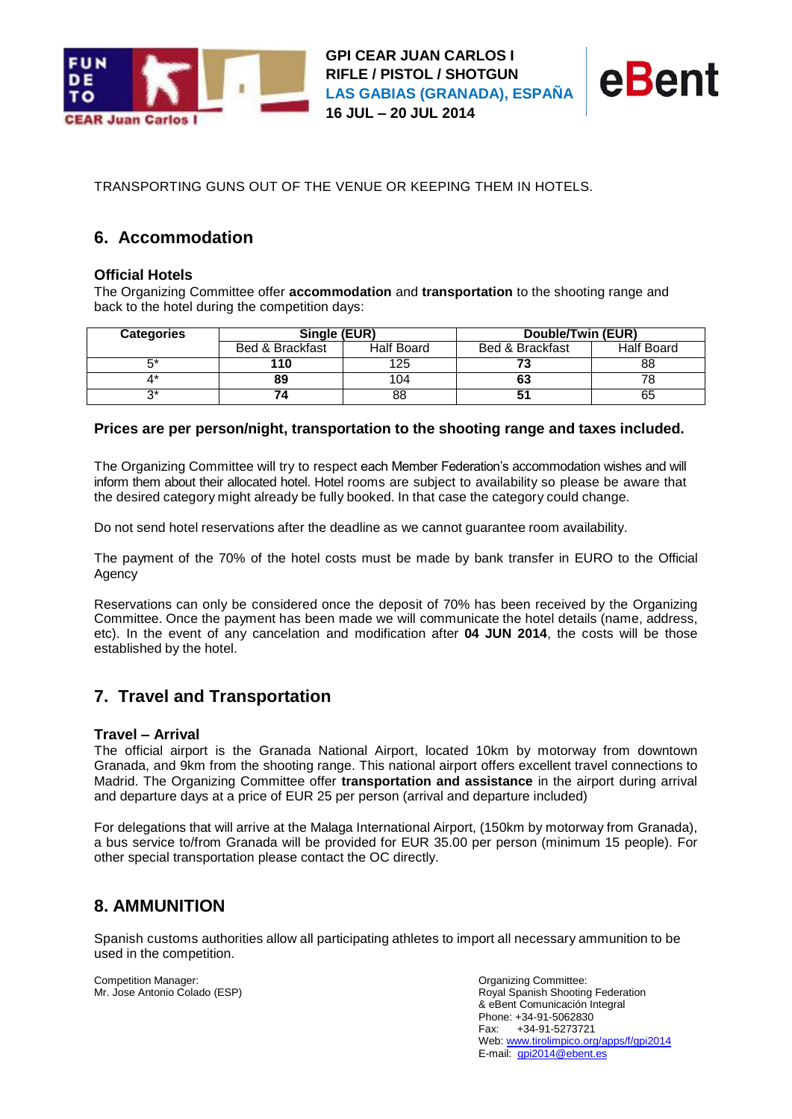



TRANSPORTING GUNS OUT OF THE VENUE OR KEEPING THEM IN HOTELS.

# **6. Accommodation**

### **Official Hotels**

The Organizing Committee offer **accommodation** and **transportation** to the shooting range and back to the hotel during the competition days:

| <b>Categories</b> | Single (EUR)    |                   | Double/Twin (EUR) |                   |
|-------------------|-----------------|-------------------|-------------------|-------------------|
|                   | Bed & Brackfast | <b>Half Board</b> | Bed & Brackfast   | <b>Half Board</b> |
|                   | 110             | 125               |                   | 88                |
|                   | 89              | 104               | 63                |                   |
|                   |                 | 88                |                   | 65                |

#### **Prices are per person/night, transportation to the shooting range and taxes included.**

The Organizing Committee will try to respect each Member Federation's accommodation wishes and will inform them about their allocated hotel. Hotel rooms are subject to availability so please be aware that the desired category might already be fully booked. In that case the category could change.

Do not send hotel reservations after the deadline as we cannot guarantee room availability.

The payment of the 70% of the hotel costs must be made by bank transfer in EURO to the Official Agency

Reservations can only be considered once the deposit of 70% has been received by the Organizing Committee. Once the payment has been made we will communicate the hotel details (name, address, etc). In the event of any cancelation and modification after **04 JUN 2014**, the costs will be those established by the hotel.

# **7. Travel and Transportation**

#### **Travel – Arrival**

The official airport is the Granada National Airport, located 10km by motorway from downtown Granada, and 9km from the shooting range. This national airport offers excellent travel connections to Madrid. The Organizing Committee offer **transportation and assistance** in the airport during arrival and departure days at a price of EUR 25 per person (arrival and departure included)

For delegations that will arrive at the Malaga International Airport, (150km by motorway from Granada), a bus service to/from Granada will be provided for EUR 35.00 per person (minimum 15 people). For other special transportation please contact the OC directly.

# **8. AMMUNITION**

Spanish customs authorities allow all participating athletes to import all necessary ammunition to be used in the competition.

Competition Manager: **Committee:** Competition Manager: **Organizing Committee:** Competition Manager: Mr. Jose Antonio Colado (ESP)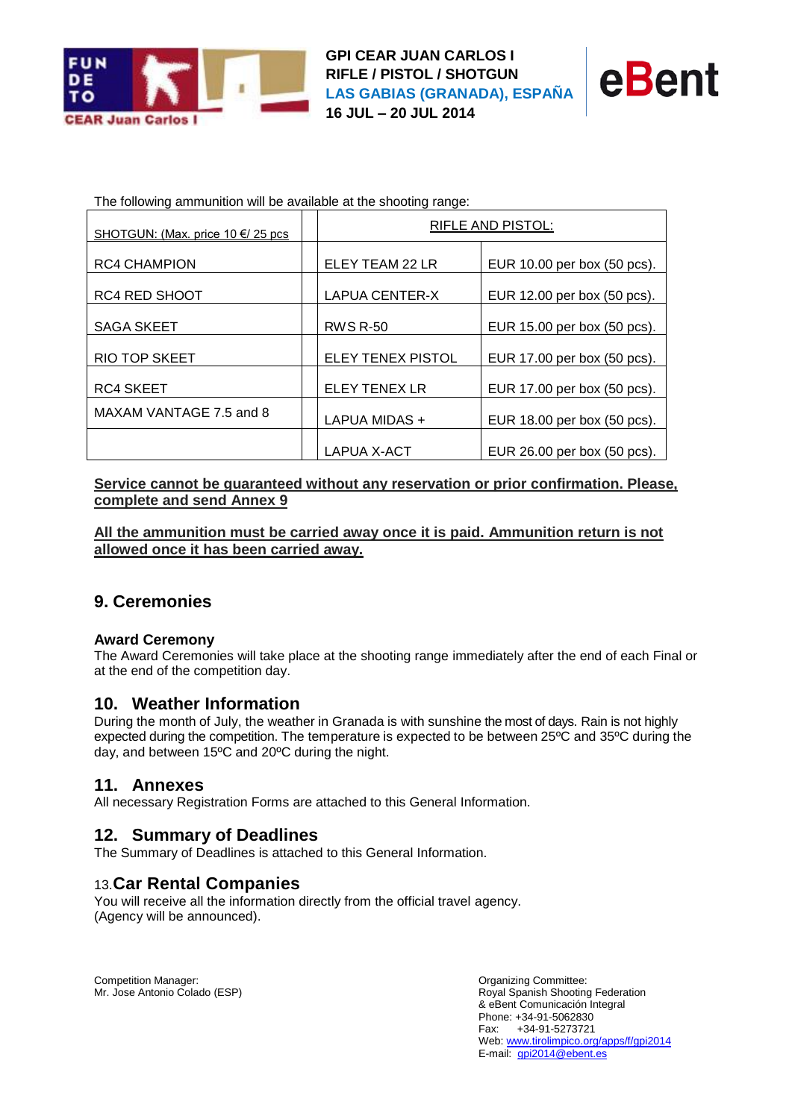

**GPI CEAR JUAN CARLOS I RIFLE / PISTOL / SHOTGUN LAS GABIAS (GRANADA), ESPAÑA 16 JUL – 20 JUL 2014**



The following ammunition will be available at the shooting range:

| SHOTGUN: (Max. price 10 €/ 25 pcs | RIFLE AND PISTOL:  |                             |  |
|-----------------------------------|--------------------|-----------------------------|--|
| <b>RC4 CHAMPION</b>               | ELEY TEAM 22 LR    | EUR 10.00 per box (50 pcs). |  |
| <b>RC4 RED SHOOT</b>              | LAPUA CENTER-X     | EUR 12.00 per box (50 pcs). |  |
| <b>SAGA SKEET</b>                 | <b>RWS R-50</b>    | EUR 15.00 per box (50 pcs). |  |
| <b>RIO TOP SKEET</b>              | ELEY TENEX PISTOL  | EUR 17.00 per box (50 pcs). |  |
| <b>RC4 SKEET</b>                  | ELEY TENEX LR      | EUR 17.00 per box (50 pcs). |  |
| MAXAM VANTAGE 7.5 and 8           | LAPUA MIDAS +      | EUR 18.00 per box (50 pcs). |  |
|                                   | <b>LAPUA X-ACT</b> | EUR 26.00 per box (50 pcs). |  |

**Service cannot be guaranteed without any reservation or prior confirmation. Please, complete and send Annex 9**

**All the ammunition must be carried away once it is paid. Ammunition return is not allowed once it has been carried away.**

### **9. Ceremonies**

#### **Award Ceremony**

The Award Ceremonies will take place at the shooting range immediately after the end of each Final or at the end of the competition day.

### **10. Weather Information**

During the month of July, the weather in Granada is with sunshine the most of days. Rain is not highly expected during the competition. The temperature is expected to be between 25ºC and 35ºC during the day, and between 15ºC and 20ºC during the night.

### **11. Annexes**

All necessary Registration Forms are attached to this General Information.

### **12. Summary of Deadlines**

The Summary of Deadlines is attached to this General Information.

### 13.**Car Rental Companies**

You will receive all the information directly from the official travel agency. (Agency will be announced).

Competition Manager: **Committee:** Competition Manager: **Organizing Committee:** Competition Manager: Mr. Jose Antonio Colado (ESP)